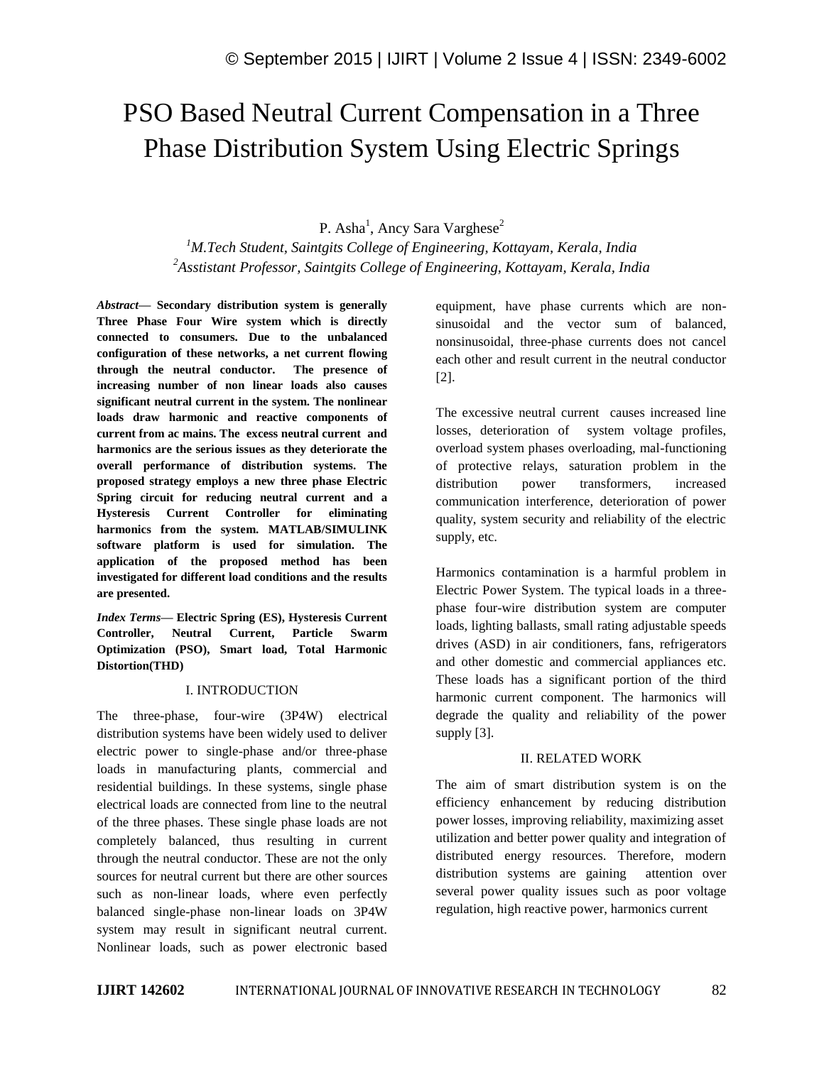# PSO Based Neutral Current Compensation in a Three Phase Distribution System Using Electric Springs

P. Asha<sup>1</sup>, Ancy Sara Varghese<sup>2</sup>

*<sup>1</sup>M.Tech Student, Saintgits College of Engineering, Kottayam, Kerala, India <sup>2</sup>Asstistant Professor, Saintgits College of Engineering, Kottayam, Kerala, India*

*Abstract—* **Secondary distribution system is generally Three Phase Four Wire system which is directly connected to consumers. Due to the unbalanced configuration of these networks, a net current flowing through the neutral conductor. The presence of increasing number of non linear loads also causes significant neutral current in the system. The nonlinear loads draw harmonic and reactive components of current from ac mains. The excess neutral current and harmonics are the serious issues as they deteriorate the overall performance of distribution systems. The proposed strategy employs a new three phase Electric Spring circuit for reducing neutral current and a Hysteresis Current Controller for eliminating harmonics from the system. MATLAB/SIMULINK software platform is used for simulation. The application of the proposed method has been investigated for different load conditions and the results are presented.**

*Index Terms—* **Electric Spring (ES), Hysteresis Current Controller, Neutral Current, Particle Swarm Optimization (PSO), Smart load, Total Harmonic Distortion(THD)**

### I. INTRODUCTION

The three-phase, four-wire (3P4W) electrical distribution systems have been widely used to deliver electric power to single-phase and/or three-phase loads in manufacturing plants, commercial and residential buildings. In these systems, single phase electrical loads are connected from line to the neutral of the three phases. These single phase loads are not completely balanced, thus resulting in current through the neutral conductor. These are not the only sources for neutral current but there are other sources such as non-linear loads, where even perfectly balanced single-phase non-linear loads on 3P4W system may result in significant neutral current. Nonlinear loads, such as power electronic based equipment, have phase currents which are nonsinusoidal and the vector sum of balanced, nonsinusoidal, three-phase currents does not cancel each other and result current in the neutral conductor [2].

The excessive neutral current causes increased line losses, deterioration of system voltage profiles, overload system phases overloading, mal-functioning of protective relays, saturation problem in the distribution power transformers, increased communication interference, deterioration of power quality, system security and reliability of the electric supply, etc.

Harmonics contamination is a harmful problem in Electric Power System. The typical loads in a threephase four-wire distribution system are computer loads, lighting ballasts, small rating adjustable speeds drives (ASD) in air conditioners, fans, refrigerators and other domestic and commercial appliances etc. These loads has a significant portion of the third harmonic current component. The harmonics will degrade the quality and reliability of the power supply [3].

### II. RELATED WORK

The aim of smart distribution system is on the efficiency enhancement by reducing distribution power losses, improving reliability, maximizing asset utilization and better power quality and integration of distributed energy resources. Therefore, modern distribution systems are gaining attention over several power quality issues such as poor voltage regulation, high reactive power, harmonics current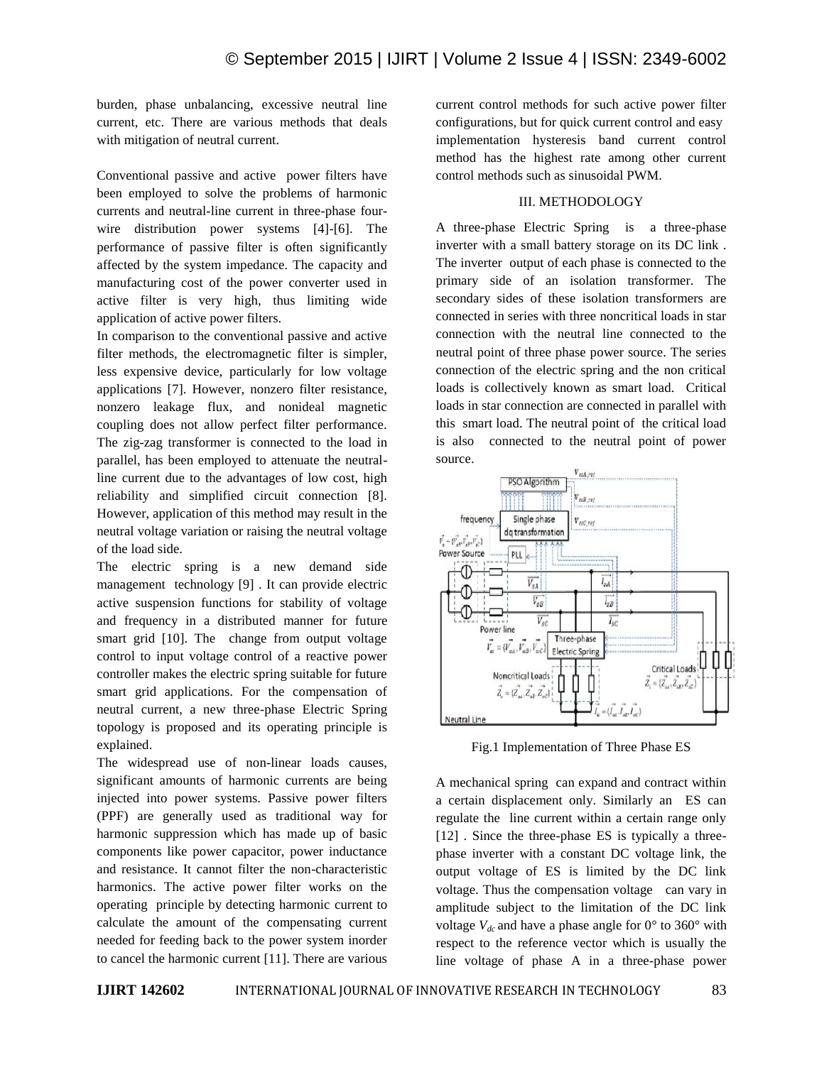burden, phase unbalancing, excessive neutral line current, etc. There are various methods that deals with mitigation of neutral current.

Conventional passive and active power filters have been employed to solve the problems of harmonic currents and neutral-line current in three-phase fourwire distribution power systems [4]-[6]. The performance of passive filter is often significantly affected by the system impedance. The capacity and manufacturing cost of the power converter used in active filter is very high, thus limiting wide application of active power filters.

In comparison to the conventional passive and active filter methods, the electromagnetic filter is simpler, less expensive device, particularly for low voltage applications [7]. However, nonzero filter resistance, nonzero leakage flux, and nonideal magnetic coupling does not allow perfect filter performance. The zig-zag transformer is connected to the load in parallel, has been employed to attenuate the neutralline current due to the advantages of low cost, high reliability and simplified circuit connection [8]. However, application of this method may result in the neutral voltage variation or raising the neutral voltage of the load side.

The electric spring is a new demand side management technology [9] . It can provide electric active suspension functions for stability of voltage and frequency in a distributed manner for future smart grid [10]. The change from output voltage control to input voltage control of a reactive power controller makes the electric spring suitable for future smart grid applications. For the compensation of neutral current, a new three-phase Electric Spring topology is proposed and its operating principle is explained.

The widespread use of non-linear loads causes, significant amounts of harmonic currents are being injected into power systems. Passive power filters (PPF) are generally used as traditional way for harmonic suppression which has made up of basic components like power capacitor, power inductance and resistance. It cannot filter the non-characteristic harmonics. The active power filter works on the operating principle by detecting harmonic current to calculate the amount of the compensating current needed for feeding back to the power system inorder to cancel the harmonic current [11]. There are various current control methods for such active power filter configurations, but for quick current control and easy implementation hysteresis band current control method has the highest rate among other current control methods such as sinusoidal PWM.

## III. METHODOLOGY

A three-phase Electric Spring is a three-phase inverter with a small battery storage on its DC link . The inverter output of each phase is connected to the primary side of an isolation transformer. The secondary sides of these isolation transformers are connected in series with three noncritical loads in star connection with the neutral line connected to the neutral point of three phase power source. The series connection of the electric spring and the non critical loads is collectively known as smart load. Critical loads in star connection are connected in parallel with this smart load. The neutral point of the critical load is also connected to the neutral point of power source.



Fig.1 Implementation of Three Phase ES

A mechanical spring can expand and contract within a certain displacement only. Similarly an ES can regulate the line current within a certain range only [12] . Since the three-phase ES is typically a threephase inverter with a constant DC voltage link, the output voltage of ES is limited by the DC link voltage. Thus the compensation voltage can vary in amplitude subject to the limitation of the DC link voltage  $V_{dc}$  and have a phase angle for  $0^{\circ}$  to  $360^{\circ}$  with respect to the reference vector which is usually the line voltage of phase A in a three-phase power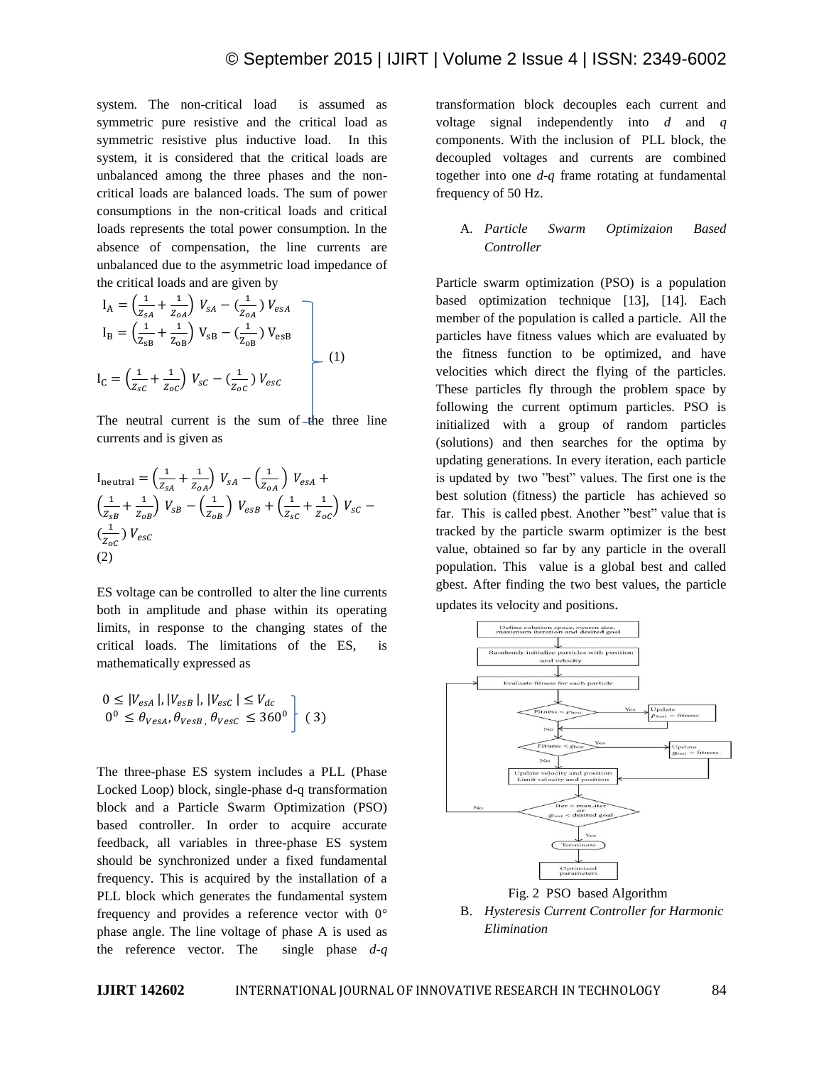system. The non-critical load is assumed as symmetric pure resistive and the critical load as symmetric resistive plus inductive load. In this system, it is considered that the critical loads are unbalanced among the three phases and the noncritical loads are balanced loads. The sum of power consumptions in the non-critical loads and critical loads represents the total power consumption. In the absence of compensation, the line currents are unbalanced due to the asymmetric load impedance of the critical loads and are given by

$$
I_{A} = \left(\frac{1}{z_{sA}} + \frac{1}{z_{oA}}\right) V_{sA} - \left(\frac{1}{z_{oA}}\right) V_{esA}
$$
  
\n
$$
I_{B} = \left(\frac{1}{z_{sB}} + \frac{1}{z_{oB}}\right) V_{sB} - \left(\frac{1}{z_{oB}}\right) V_{esB}
$$
  
\n
$$
I_{C} = \left(\frac{1}{z_{sC}} + \frac{1}{z_{oC}}\right) V_{sc} - \left(\frac{1}{z_{oC}}\right) V_{esc}
$$
  
\n(1)

The neutral current is the sum of  $\pm$  the three line currents and is given as

$$
I_{\text{neutral}} = \left(\frac{1}{z_{sA}} + \frac{1}{z_{oA}}\right) V_{sA} - \left(\frac{1}{z_{oA}}\right) V_{esA} +
$$
  
\n
$$
\left(\frac{1}{z_{sB}} + \frac{1}{z_{oB}}\right) V_{sB} - \left(\frac{1}{z_{oB}}\right) V_{esB} + \left(\frac{1}{z_{sC}} + \frac{1}{z_{oC}}\right) V_{sC} -
$$
  
\n
$$
\left(\frac{1}{z_{oC}}\right) V_{esc}
$$
  
\n(2)

ES voltage can be controlled to alter the line currents both in amplitude and phase within its operating limits, in response to the changing states of the critical loads. The limitations of the ES, is mathematically expressed as

$$
0 \le |V_{esA}|, |V_{esB}|, |V_{esc}| \le V_{dc}
$$
  

$$
0^0 \le \theta_{VesA}, \theta_{VesB}, \theta_{VesC} \le 360^0
$$
 (3)

The three-phase ES system includes a PLL (Phase Locked Loop) block, single-phase d-q transformation block and a Particle Swarm Optimization (PSO) based controller. In order to acquire accurate feedback, all variables in three-phase ES system should be synchronized under a fixed fundamental frequency. This is acquired by the installation of a PLL block which generates the fundamental system frequency and provides a reference vector with 0° phase angle. The line voltage of phase A is used as the reference vector. The single phase *d-q*  transformation block decouples each current and voltage signal independently into *d* and *q*  components. With the inclusion of PLL block, the decoupled voltages and currents are combined together into one *d-q* frame rotating at fundamental frequency of 50 Hz.

## A. *Particle Swarm Optimizaion Based Controller*

Particle swarm optimization (PSO) is a population based optimization technique [13], [14]. Each member of the population is called a particle. All the particles have fitness values which are evaluated by the fitness function to be optimized, and have velocities which direct the flying of the particles. These particles fly through the problem space by following the current optimum particles. PSO is initialized with a group of random particles (solutions) and then searches for the optima by updating generations. In every iteration, each particle is updated by two "best" values. The first one is the best solution (fitness) the particle has achieved so far. This is called pbest. Another "best" value that is tracked by the particle swarm optimizer is the best value, obtained so far by any particle in the overall population. This value is a global best and called gbest. After finding the two best values, the particle updates its velocity and positions.



B. *Hysteresis Current Controller for Harmonic Elimination*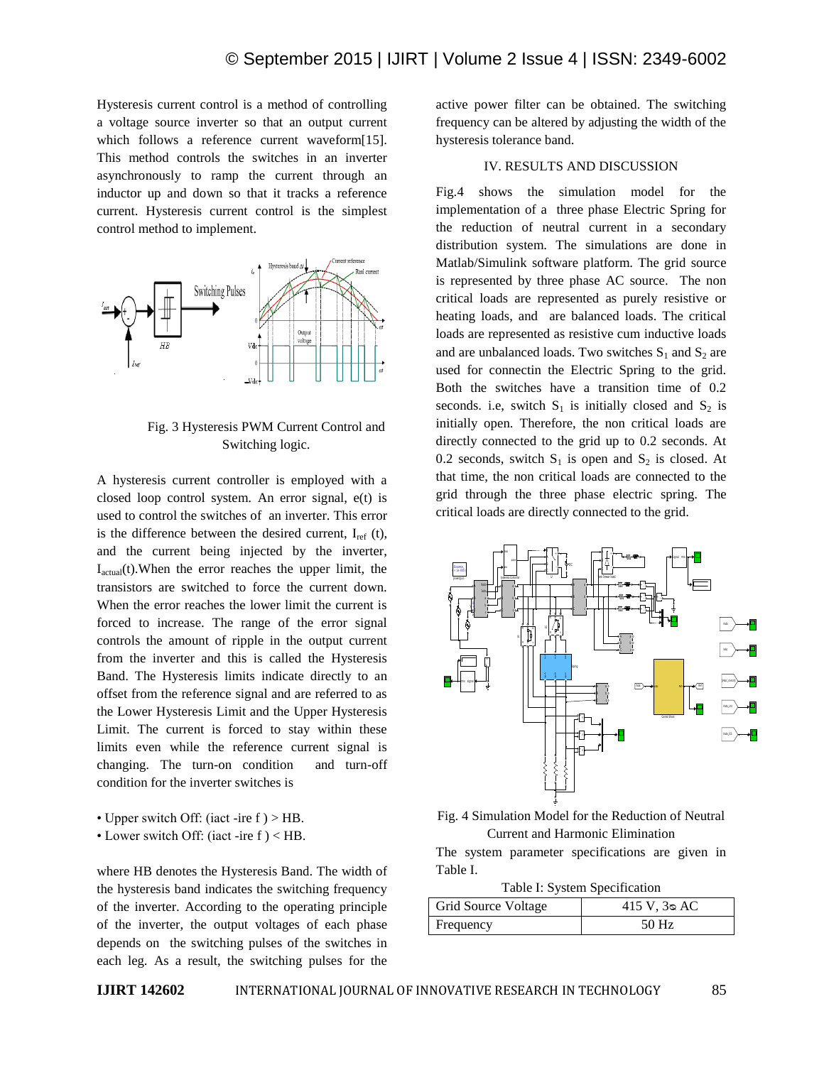Hysteresis current control is a method of controlling a voltage source inverter so that an output current which follows a reference current waveform[15]. This method controls the switches in an inverter asynchronously to ramp the current through an inductor up and down so that it tracks a reference current. Hysteresis current control is the simplest control method to implement.



Fig. 3 Hysteresis PWM Current Control and Switching logic.

A hysteresis current controller is employed with a closed loop control system. An error signal, e(t) is used to control the switches of an inverter. This error is the difference between the desired current,  $I_{ref}$  (t), and the current being injected by the inverter,  $I_{actual}(t)$ . When the error reaches the upper limit, the transistors are switched to force the current down. When the error reaches the lower limit the current is forced to increase. The range of the error signal controls the amount of ripple in the output current from the inverter and this is called the Hysteresis Band. The Hysteresis limits indicate directly to an offset from the reference signal and are referred to as the Lower Hysteresis Limit and the Upper Hysteresis Limit. The current is forced to stay within these limits even while the reference current signal is changing. The turn-on condition and turn-off condition for the inverter switches is

- Upper switch Off: (iact -ire f ) > HB.
- Lower switch Off: (iact -ire f ) < HB.

where HB denotes the Hysteresis Band. The width of the hysteresis band indicates the switching frequency of the inverter. According to the operating principle of the inverter, the output voltages of each phase depends on the switching pulses of the switches in each leg. As a result, the switching pulses for the active power filter can be obtained. The switching frequency can be altered by adjusting the width of the hysteresis tolerance band.

#### IV. RESULTS AND DISCUSSION

Fig.4 shows the simulation model for the implementation of a three phase Electric Spring for the reduction of neutral current in a secondary distribution system. The simulations are done in Matlab/Simulink software platform. The grid source is represented by three phase AC source. The non critical loads are represented as purely resistive or heating loads, and are balanced loads. The critical loads are represented as resistive cum inductive loads and are unbalanced loads. Two switches  $S_1$  and  $S_2$  are used for connectin the Electric Spring to the grid. Both the switches have a transition time of 0.2 seconds. i.e, switch  $S_1$  is initially closed and  $S_2$  is initially open. Therefore, the non critical loads are directly connected to the grid up to 0.2 seconds. At 0.2 seconds, switch  $S_1$  is open and  $S_2$  is closed. At that time, the non critical loads are connected to the grid through the three phase electric spring. The critical loads are directly connected to the grid.



Fig. 4 Simulation Model for the Reduction of Neutral Current and Harmonic Elimination

The system parameter specifications are given in Table I.

Table I: System Specification

| Grid Source Voltage | $415 \text{ V}$ , $3 \text{°}$ AC |
|---------------------|-----------------------------------|
| Frequency           | 50 Hz                             |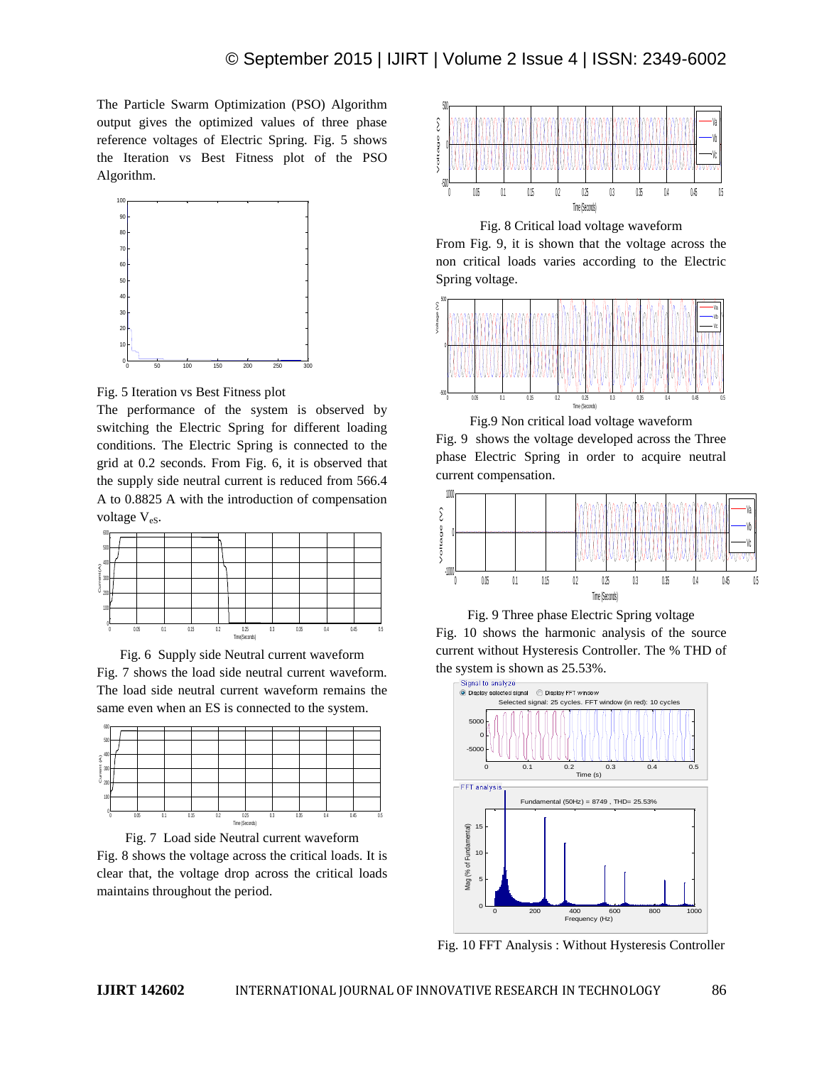The Particle Swarm Optimization (PSO) Algorithm output gives the optimized values of three phase reference voltages of Electric Spring. Fig. 5 shows the Iteration vs Best Fitness plot of the PSO Algorithm.



Fig. 5 Iteration vs Best Fitness plot

The performance of the system is observed by switching the Electric Spring for different loading conditions. The Electric Spring is connected to the grid at 0.2 seconds. From Fig. 6, it is observed that the supply side neutral current is reduced from 566.4 A to 0.8825 A with the introduction of compensation voltage V<sub>eS</sub>.



Fig. 6 Supply side Neutral current waveform Fig. 7 shows the load side neutral current waveform. The load side neutral current waveform remains the same even when an ES is connected to the system.





Fig. 8 shows the voltage across the critical loads. It is clear that, the voltage drop across the critical loads maintains throughout the period.



Fig. 8 Critical load voltage waveform

From Fig. 9, it is shown that the voltage across the non critical loads varies according to the Electric Spring voltage.



Fig.9 Non critical load voltage waveform Fig. 9 shows the voltage developed across the Three phase Electric Spring in order to acquire neutral current compensation.



Fig. 9 Three phase Electric Spring voltage Fig. 10 shows the harmonic analysis of the source current without Hysteresis Controller. The % THD of the system is shown as 25.53%.



Fig. 10 FFT Analysis : Without Hysteresis Controller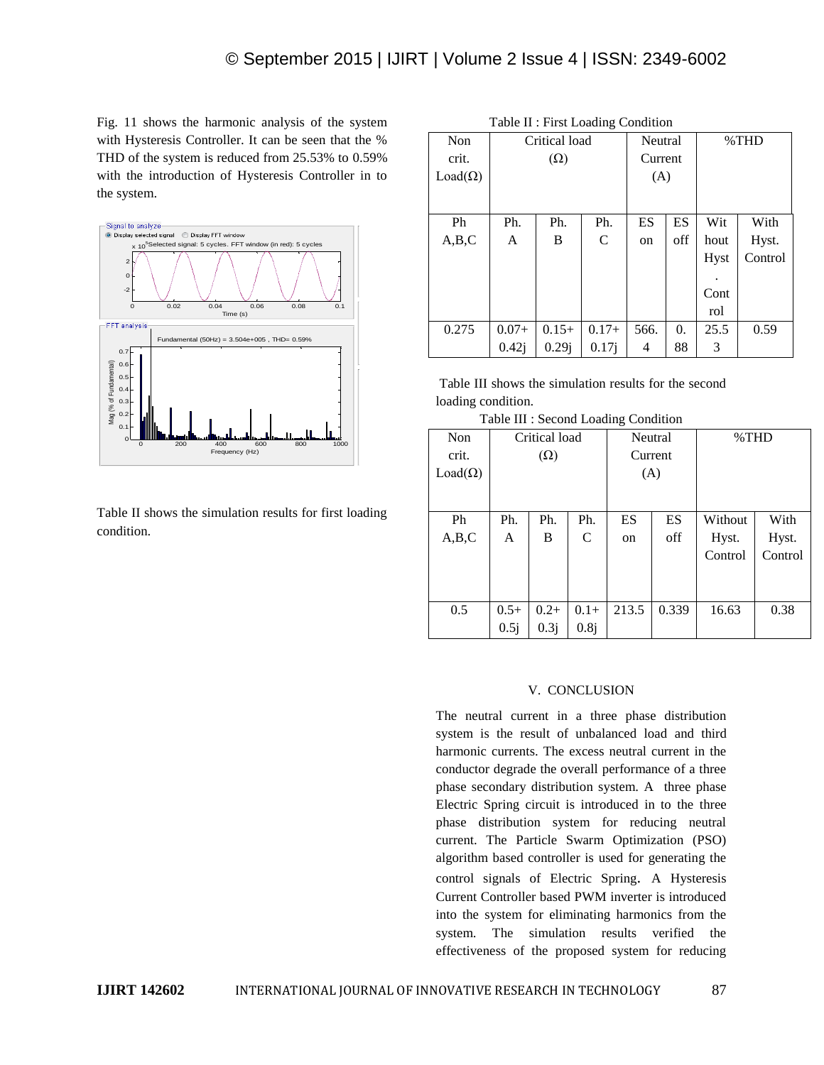Fig. 11 shows the harmonic analysis of the system with Hysteresis Controller. It can be seen that the % THD of the system is reduced from 25.53% to 0.59% with the introduction of Hysteresis Controller in to the system.



Table II shows the simulation results for first loading condition.

| Table II : First Loading Condition |               |          |         |         |                  |             |         |  |
|------------------------------------|---------------|----------|---------|---------|------------------|-------------|---------|--|
| Non                                | Critical load |          |         | Neutral |                  | %THD        |         |  |
| crit.                              | $(\Omega)$    |          |         | Current |                  |             |         |  |
| $Load(\Omega)$                     |               |          |         | (A)     |                  |             |         |  |
|                                    |               |          |         |         |                  |             |         |  |
|                                    |               |          |         |         |                  |             |         |  |
| Ph                                 | Ph.           | Ph.      | Ph.     | ES      | ES               | Wit         | With    |  |
| A,B,C                              | A             | B        | C       | on      | off              | hout        | Hyst.   |  |
|                                    |               |          |         |         |                  | <b>Hyst</b> | Control |  |
|                                    |               |          |         |         |                  |             |         |  |
|                                    |               |          |         |         |                  | Cont        |         |  |
|                                    |               |          |         |         |                  | rol         |         |  |
| 0.275                              | $0.07+$       | $0.15+$  | $0.17+$ | 566.    | $\overline{0}$ . | 25.5        | 0.59    |  |
|                                    | 0.42i         | $0.29$ j | 0.17j   | 4       | 88               | 3           |         |  |

Table III shows the simulation results for the second loading condition.

|  |  |  |  |  | Table III : Second Loading Condition |
|--|--|--|--|--|--------------------------------------|
|--|--|--|--|--|--------------------------------------|

| Non            | Critical load |        | Neutral |               | %THD  |         |         |
|----------------|---------------|--------|---------|---------------|-------|---------|---------|
| crit.          | $(\Omega)$    |        | Current |               |       |         |         |
| $Load(\Omega)$ |               |        | (A)     |               |       |         |         |
|                |               |        |         |               |       |         |         |
|                |               |        |         |               |       |         |         |
| Ph             | Ph.           | Ph.    | Ph.     | ES            | ES    | Without | With    |
| A,B,C          | A             | B      | C       | <sub>on</sub> | off   | Hyst.   | Hyst.   |
|                |               |        |         |               |       | Control | Control |
|                |               |        |         |               |       |         |         |
|                |               |        |         |               |       |         |         |
|                |               |        |         |               |       |         |         |
| 0.5            | $0.5+$        | $0.2+$ | $0.1+$  | 213.5         | 0.339 | 16.63   | 0.38    |
|                | 0.5j          | 0.3j   | 0.8j    |               |       |         |         |

#### V. CONCLUSION

The neutral current in a three phase distribution system is the result of unbalanced load and third harmonic currents. The excess neutral current in the conductor degrade the overall performance of a three phase secondary distribution system. A three phase Electric Spring circuit is introduced in to the three phase distribution system for reducing neutral current. The Particle Swarm Optimization (PSO) algorithm based controller is used for generating the control signals of Electric Spring. A Hysteresis Current Controller based PWM inverter is introduced into the system for eliminating harmonics from the system. The simulation results verified the effectiveness of the proposed system for reducing